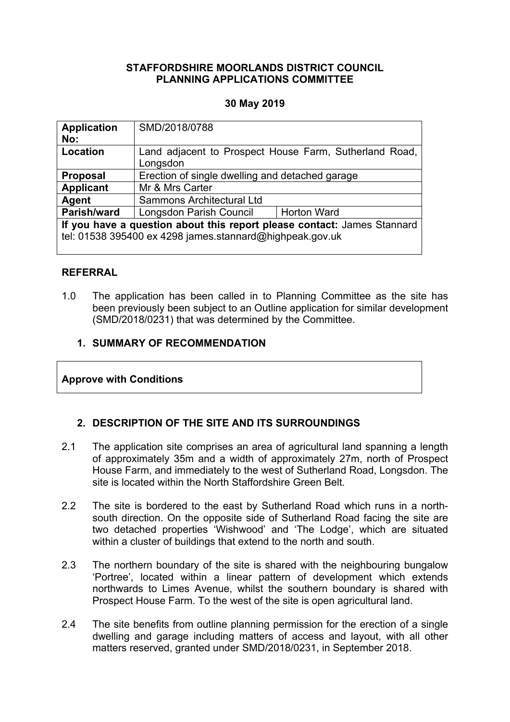# **STAFFORDSHIRE MOORLANDS DISTRICT COUNCIL PLANNING APPLICATIONS COMMITTEE**

# **30 May 2019**

| <b>Application</b>                                                      | SMD/2018/0788                                   |                                                        |  |
|-------------------------------------------------------------------------|-------------------------------------------------|--------------------------------------------------------|--|
| No:                                                                     |                                                 |                                                        |  |
| Location                                                                |                                                 | Land adjacent to Prospect House Farm, Sutherland Road, |  |
|                                                                         | Longsdon                                        |                                                        |  |
| <b>Proposal</b>                                                         | Erection of single dwelling and detached garage |                                                        |  |
| <b>Applicant</b>                                                        | Mr & Mrs Carter                                 |                                                        |  |
| Agent                                                                   | Sammons Architectural Ltd                       |                                                        |  |
| Parish/ward                                                             | Longsdon Parish Council                         | <b>Horton Ward</b>                                     |  |
| If you have a question about this report please contact: James Stannard |                                                 |                                                        |  |
| tel: 01538 395400 ex 4298 james.stannard@highpeak.gov.uk                |                                                 |                                                        |  |
|                                                                         |                                                 |                                                        |  |

# **REFERRAL**

1.0 The application has been called in to Planning Committee as the site has been previously been subject to an Outline application for similar development (SMD/2018/0231) that was determined by the Committee.

# **1. SUMMARY OF RECOMMENDATION**

# **Approve with Conditions**

# **2. DESCRIPTION OF THE SITE AND ITS SURROUNDINGS**

- 2.1 The application site comprises an area of agricultural land spanning a length of approximately 35m and a width of approximately 27m, north of Prospect House Farm, and immediately to the west of Sutherland Road, Longsdon. The site is located within the North Staffordshire Green Belt.
- 2.2 The site is bordered to the east by Sutherland Road which runs in a northsouth direction. On the opposite side of Sutherland Road facing the site are two detached properties 'Wishwood' and 'The Lodge', which are situated within a cluster of buildings that extend to the north and south.
- 2.3 The northern boundary of the site is shared with the neighbouring bungalow 'Portree', located within a linear pattern of development which extends northwards to Limes Avenue, whilst the southern boundary is shared with Prospect House Farm. To the west of the site is open agricultural land.
- 2.4 The site benefits from outline planning permission for the erection of a single dwelling and garage including matters of access and layout, with all other matters reserved, granted under SMD/2018/0231, in September 2018.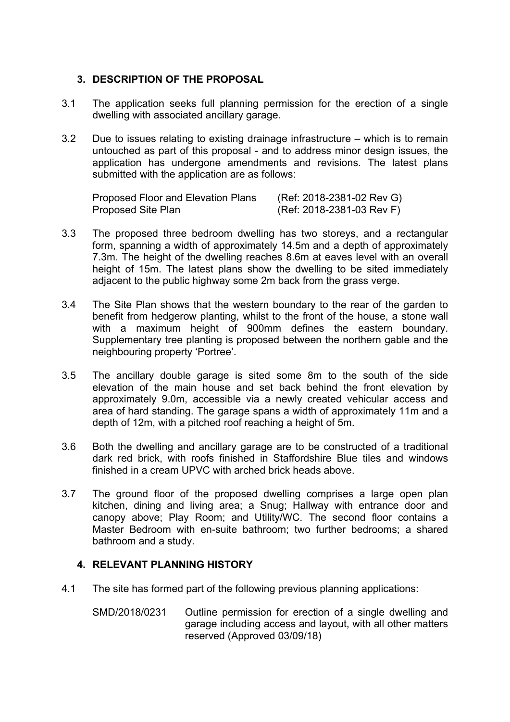# **3. DESCRIPTION OF THE PROPOSAL**

- 3.1 The application seeks full planning permission for the erection of a single dwelling with associated ancillary garage.
- 3.2 Due to issues relating to existing drainage infrastructure which is to remain untouched as part of this proposal - and to address minor design issues, the application has undergone amendments and revisions. The latest plans submitted with the application are as follows:

Proposed Floor and Elevation Plans (Ref: 2018-2381-02 Rev G) Proposed Site Plan (Ref: 2018-2381-03 Rev F)

- 3.3 The proposed three bedroom dwelling has two storeys, and a rectangular form, spanning a width of approximately 14.5m and a depth of approximately 7.3m. The height of the dwelling reaches 8.6m at eaves level with an overall height of 15m. The latest plans show the dwelling to be sited immediately adiacent to the public highway some 2m back from the grass verge.
- 3.4 The Site Plan shows that the western boundary to the rear of the garden to benefit from hedgerow planting, whilst to the front of the house, a stone wall with a maximum height of 900mm defines the eastern boundary. Supplementary tree planting is proposed between the northern gable and the neighbouring property 'Portree'.
- 3.5 The ancillary double garage is sited some 8m to the south of the side elevation of the main house and set back behind the front elevation by approximately 9.0m, accessible via a newly created vehicular access and area of hard standing. The garage spans a width of approximately 11m and a depth of 12m, with a pitched roof reaching a height of 5m.
- 3.6 Both the dwelling and ancillary garage are to be constructed of a traditional dark red brick, with roofs finished in Staffordshire Blue tiles and windows finished in a cream UPVC with arched brick heads above.
- 3.7 The ground floor of the proposed dwelling comprises a large open plan kitchen, dining and living area; a Snug; Hallway with entrance door and canopy above; Play Room; and Utility/WC. The second floor contains a Master Bedroom with en-suite bathroom; two further bedrooms; a shared bathroom and a study.

# **4. RELEVANT PLANNING HISTORY**

- 4.1 The site has formed part of the following previous planning applications:
	- SMD/2018/0231 Outline permission for erection of a single dwelling and garage including access and layout, with all other matters reserved (Approved 03/09/18)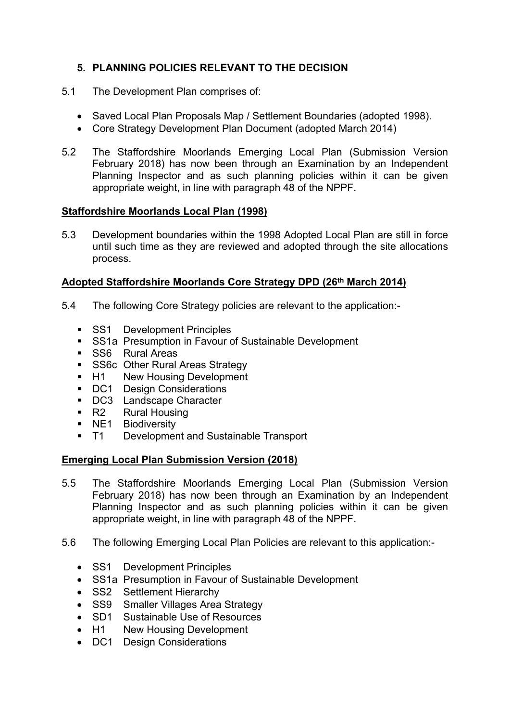# **5. PLANNING POLICIES RELEVANT TO THE DECISION**

- 5.1 The Development Plan comprises of:
	- Saved Local Plan Proposals Map / Settlement Boundaries (adopted 1998).
	- Core Strategy Development Plan Document (adopted March 2014)
- 5.2 The Staffordshire Moorlands Emerging Local Plan (Submission Version February 2018) has now been through an Examination by an Independent Planning Inspector and as such planning policies within it can be given appropriate weight, in line with paragraph 48 of the NPPF.

# **Staffordshire Moorlands Local Plan (1998)**

5.3 Development boundaries within the 1998 Adopted Local Plan are still in force until such time as they are reviewed and adopted through the site allocations process.

# **Adopted Staffordshire Moorlands Core Strategy DPD (26th March 2014)**

- 5.4 The following Core Strategy policies are relevant to the application:-
	- **SS1** Development Principles
	- **SS1a Presumption in Favour of Sustainable Development**
	- SS6 Rural Areas
	- **SS6c Other Rural Areas Strategy**
	- H1 New Housing Development
	- DC1 Design Considerations
	- DC3 Landscape Character
	- R2 Rural Housing
	- **NE1** Biodiversity
	- T1 Development and Sustainable Transport

# **Emerging Local Plan Submission Version (2018)**

- 5.5 The Staffordshire Moorlands Emerging Local Plan (Submission Version February 2018) has now been through an Examination by an Independent Planning Inspector and as such planning policies within it can be given appropriate weight, in line with paragraph 48 of the NPPF.
- 5.6 The following Emerging Local Plan Policies are relevant to this application:-
	- SS1 Development Principles
	- SS1a Presumption in Favour of Sustainable Development
	- SS2 Settlement Hierarchy
	- SS9 Smaller Villages Area Strategy
	- SD1 Sustainable Use of Resources
	- H1 New Housing Development
	- DC1 Design Considerations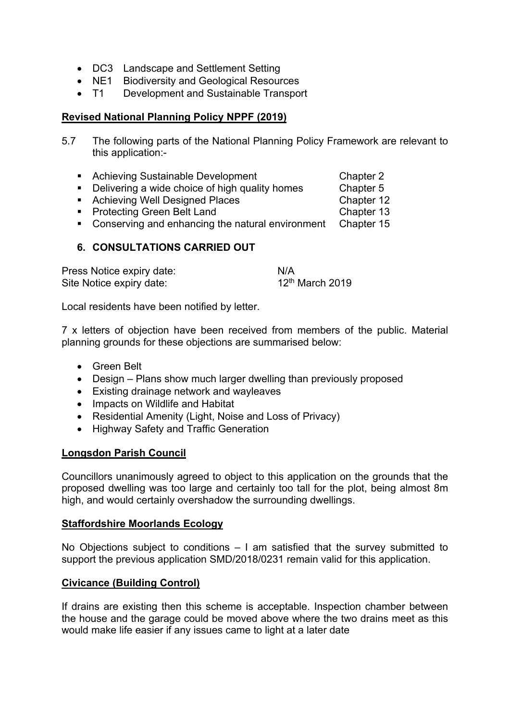- DC3 Landscape and Settlement Setting
- NE1 Biodiversity and Geological Resources
- T1 Development and Sustainable Transport

# **Revised National Planning Policy NPPF (2019)**

- 5.7 The following parts of the National Planning Policy Framework are relevant to this application:-
	- Achieving Sustainable Development Chapter 2
	- Delivering a wide choice of high quality homes Chapter 5
	- Achieving Well Designed Places Chapter 12
- - Protecting Green Belt Land Chapter 13
		-
	- Conserving and enhancing the natural environment Chapter 15

# **6. CONSULTATIONS CARRIED OUT**

| Press Notice expiry date: | N/A                         |
|---------------------------|-----------------------------|
| Site Notice expiry date:  | 12 <sup>th</sup> March 2019 |

Local residents have been notified by letter.

7 x letters of objection have been received from members of the public. Material planning grounds for these objections are summarised below:

- Green Belt
- Design Plans show much larger dwelling than previously proposed
- Existing drainage network and wayleaves
- Impacts on Wildlife and Habitat
- Residential Amenity (Light, Noise and Loss of Privacy)
- Highway Safety and Traffic Generation

# **Longsdon Parish Council**

Councillors unanimously agreed to object to this application on the grounds that the proposed dwelling was too large and certainly too tall for the plot, being almost 8m high, and would certainly overshadow the surrounding dwellings.

# **Staffordshire Moorlands Ecology**

No Objections subject to conditions – I am satisfied that the survey submitted to support the previous application SMD/2018/0231 remain valid for this application.

# **Civicance (Building Control)**

If drains are existing then this scheme is acceptable. Inspection chamber between the house and the garage could be moved above where the two drains meet as this would make life easier if any issues came to light at a later date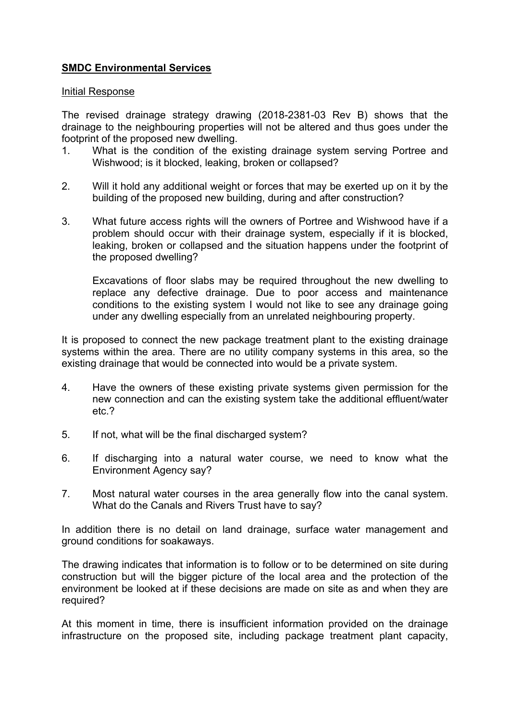# **SMDC Environmental Services**

#### Initial Response

The revised drainage strategy drawing (2018-2381-03 Rev B) shows that the drainage to the neighbouring properties will not be altered and thus goes under the footprint of the proposed new dwelling.

- 1. What is the condition of the existing drainage system serving Portree and Wishwood; is it blocked, leaking, broken or collapsed?
- 2. Will it hold any additional weight or forces that may be exerted up on it by the building of the proposed new building, during and after construction?
- 3. What future access rights will the owners of Portree and Wishwood have if a problem should occur with their drainage system, especially if it is blocked, leaking, broken or collapsed and the situation happens under the footprint of the proposed dwelling?

Excavations of floor slabs may be required throughout the new dwelling to replace any defective drainage. Due to poor access and maintenance conditions to the existing system I would not like to see any drainage going under any dwelling especially from an unrelated neighbouring property.

It is proposed to connect the new package treatment plant to the existing drainage systems within the area. There are no utility company systems in this area, so the existing drainage that would be connected into would be a private system.

- 4. Have the owners of these existing private systems given permission for the new connection and can the existing system take the additional effluent/water etc.?
- 5. If not, what will be the final discharged system?
- 6. If discharging into a natural water course, we need to know what the Environment Agency say?
- 7. Most natural water courses in the area generally flow into the canal system. What do the Canals and Rivers Trust have to say?

In addition there is no detail on land drainage, surface water management and ground conditions for soakaways.

The drawing indicates that information is to follow or to be determined on site during construction but will the bigger picture of the local area and the protection of the environment be looked at if these decisions are made on site as and when they are required?

At this moment in time, there is insufficient information provided on the drainage infrastructure on the proposed site, including package treatment plant capacity,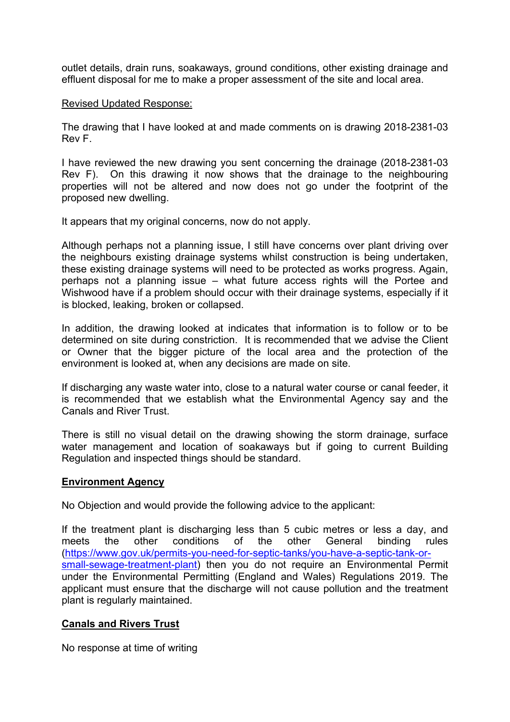outlet details, drain runs, soakaways, ground conditions, other existing drainage and effluent disposal for me to make a proper assessment of the site and local area.

#### Revised Updated Response:

The drawing that I have looked at and made comments on is drawing 2018-2381-03 Rev F.

I have reviewed the new drawing you sent concerning the drainage (2018-2381-03 Rev F). On this drawing it now shows that the drainage to the neighbouring properties will not be altered and now does not go under the footprint of the proposed new dwelling.

It appears that my original concerns, now do not apply.

Although perhaps not a planning issue, I still have concerns over plant driving over the neighbours existing drainage systems whilst construction is being undertaken, these existing drainage systems will need to be protected as works progress. Again, perhaps not a planning issue – what future access rights will the Portee and Wishwood have if a problem should occur with their drainage systems, especially if it is blocked, leaking, broken or collapsed.

In addition, the drawing looked at indicates that information is to follow or to be determined on site during constriction. It is recommended that we advise the Client or Owner that the bigger picture of the local area and the protection of the environment is looked at, when any decisions are made on site.

If discharging any waste water into, close to a natural water course or canal feeder, it is recommended that we establish what the Environmental Agency say and the Canals and River Trust.

There is still no visual detail on the drawing showing the storm drainage, surface water management and location of soakaways but if going to current Building Regulation and inspected things should be standard.

#### **Environment Agency**

No Objection and would provide the following advice to the applicant:

If the treatment plant is discharging less than 5 cubic metres or less a day, and meets the other conditions of the other General binding rules ([https://www.gov.uk/permits-you-need-for-septic-tanks/you-have-a-septic-tank-or](https://www.gov.uk/permits-you-need-for-septic-tanks/you-have-a-septic-tank-or-small-sewage-treatment-plant)[small-sewage-treatment-plant\)](https://www.gov.uk/permits-you-need-for-septic-tanks/you-have-a-septic-tank-or-small-sewage-treatment-plant) then you do not require an Environmental Permit under the Environmental Permitting (England and Wales) Regulations 2019. The applicant must ensure that the discharge will not cause pollution and the treatment plant is regularly maintained.

# **Canals and Rivers Trust**

No response at time of writing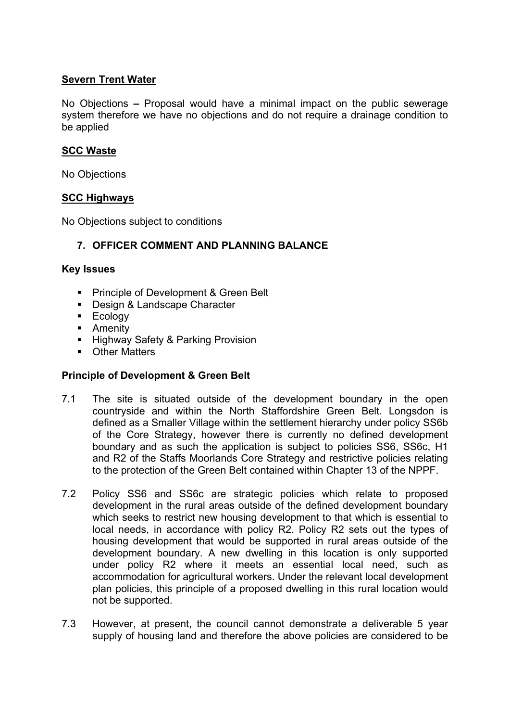# **Severn Trent Water**

No Objections *–* Proposal would have a minimal impact on the public sewerage system therefore we have no objections and do not require a drainage condition to be applied

# **SCC Waste**

No Objections

# **SCC Highways**

No Objections subject to conditions

# **7. OFFICER COMMENT AND PLANNING BALANCE**

#### **Key Issues**

- **Principle of Development & Green Belt**
- Design & Landscape Character
- **Ecology**
- **-** Amenity
- **Highway Safety & Parking Provision**
- **•** Other Matters

# **Principle of Development & Green Belt**

- 7.1 The site is situated outside of the development boundary in the open countryside and within the North Staffordshire Green Belt. Longsdon is defined as a Smaller Village within the settlement hierarchy under policy SS6b of the Core Strategy, however there is currently no defined development boundary and as such the application is subject to policies SS6, SS6c, H1 and R2 of the Staffs Moorlands Core Strategy and restrictive policies relating to the protection of the Green Belt contained within Chapter 13 of the NPPF.
- 7.2 Policy SS6 and SS6c are strategic policies which relate to proposed development in the rural areas outside of the defined development boundary which seeks to restrict new housing development to that which is essential to local needs, in accordance with policy R2. Policy R2 sets out the types of housing development that would be supported in rural areas outside of the development boundary. A new dwelling in this location is only supported under policy R2 where it meets an essential local need, such as accommodation for agricultural workers. Under the relevant local development plan policies, this principle of a proposed dwelling in this rural location would not be supported.
- 7.3 However, at present, the council cannot demonstrate a deliverable 5 year supply of housing land and therefore the above policies are considered to be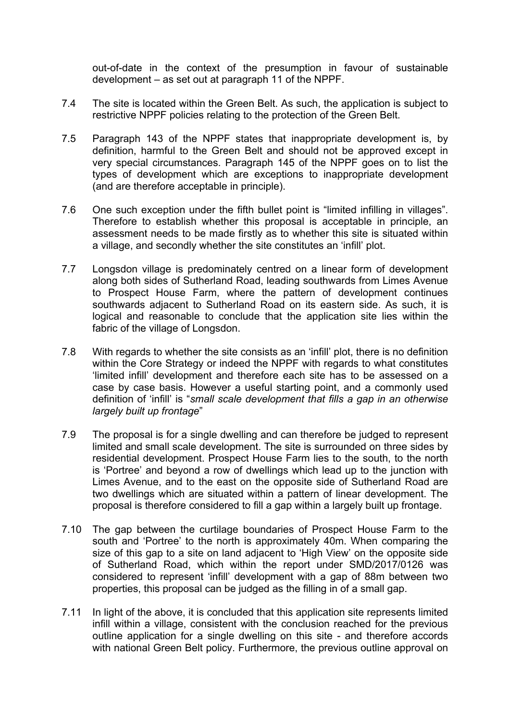out-of-date in the context of the presumption in favour of sustainable development – as set out at paragraph 11 of the NPPF.

- 7.4 The site is located within the Green Belt. As such, the application is subject to restrictive NPPF policies relating to the protection of the Green Belt.
- 7.5 Paragraph 143 of the NPPF states that inappropriate development is, by definition, harmful to the Green Belt and should not be approved except in very special circumstances. Paragraph 145 of the NPPF goes on to list the types of development which are exceptions to inappropriate development (and are therefore acceptable in principle).
- 7.6 One such exception under the fifth bullet point is "limited infilling in villages". Therefore to establish whether this proposal is acceptable in principle, an assessment needs to be made firstly as to whether this site is situated within a village, and secondly whether the site constitutes an 'infill' plot.
- 7.7 Longsdon village is predominately centred on a linear form of development along both sides of Sutherland Road, leading southwards from Limes Avenue to Prospect House Farm, where the pattern of development continues southwards adjacent to Sutherland Road on its eastern side. As such, it is logical and reasonable to conclude that the application site lies within the fabric of the village of Longsdon.
- 7.8 With regards to whether the site consists as an 'infill' plot, there is no definition within the Core Strategy or indeed the NPPF with regards to what constitutes 'limited infill' development and therefore each site has to be assessed on a case by case basis. However a useful starting point, and a commonly used definition of 'infill' is "*small scale development that fills a gap in an otherwise largely built up frontage*"
- 7.9 The proposal is for a single dwelling and can therefore be judged to represent limited and small scale development. The site is surrounded on three sides by residential development. Prospect House Farm lies to the south, to the north is 'Portree' and beyond a row of dwellings which lead up to the junction with Limes Avenue, and to the east on the opposite side of Sutherland Road are two dwellings which are situated within a pattern of linear development. The proposal is therefore considered to fill a gap within a largely built up frontage.
- 7.10 The gap between the curtilage boundaries of Prospect House Farm to the south and 'Portree' to the north is approximately 40m. When comparing the size of this gap to a site on land adjacent to 'High View' on the opposite side of Sutherland Road, which within the report under SMD/2017/0126 was considered to represent 'infill' development with a gap of 88m between two properties, this proposal can be judged as the filling in of a small gap.
- 7.11 In light of the above, it is concluded that this application site represents limited infill within a village, consistent with the conclusion reached for the previous outline application for a single dwelling on this site - and therefore accords with national Green Belt policy. Furthermore, the previous outline approval on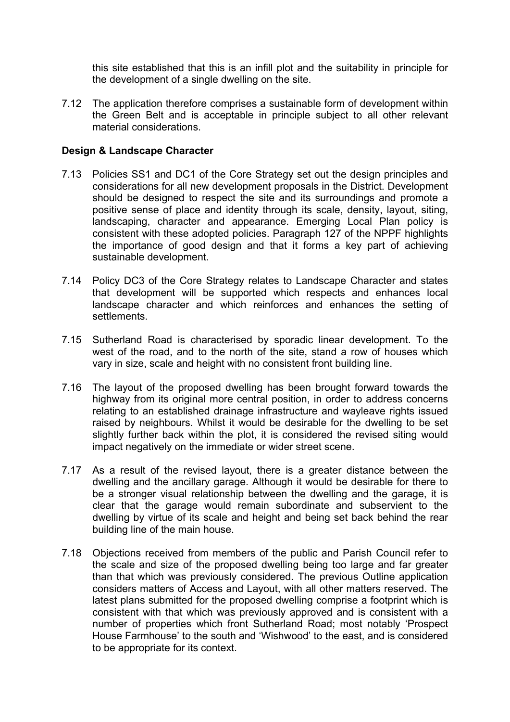this site established that this is an infill plot and the suitability in principle for the development of a single dwelling on the site.

7.12 The application therefore comprises a sustainable form of development within the Green Belt and is acceptable in principle subject to all other relevant material considerations.

### **Design & Landscape Character**

- 7.13 Policies SS1 and DC1 of the Core Strategy set out the design principles and considerations for all new development proposals in the District. Development should be designed to respect the site and its surroundings and promote a positive sense of place and identity through its scale, density, layout, siting, landscaping, character and appearance. Emerging Local Plan policy is consistent with these adopted policies. Paragraph 127 of the NPPF highlights the importance of good design and that it forms a key part of achieving sustainable development.
- 7.14 Policy DC3 of the Core Strategy relates to Landscape Character and states that development will be supported which respects and enhances local landscape character and which reinforces and enhances the setting of settlements.
- 7.15 Sutherland Road is characterised by sporadic linear development. To the west of the road, and to the north of the site, stand a row of houses which vary in size, scale and height with no consistent front building line.
- 7.16 The layout of the proposed dwelling has been brought forward towards the highway from its original more central position, in order to address concerns relating to an established drainage infrastructure and wayleave rights issued raised by neighbours. Whilst it would be desirable for the dwelling to be set slightly further back within the plot, it is considered the revised siting would impact negatively on the immediate or wider street scene.
- 7.17 As a result of the revised layout, there is a greater distance between the dwelling and the ancillary garage. Although it would be desirable for there to be a stronger visual relationship between the dwelling and the garage, it is clear that the garage would remain subordinate and subservient to the dwelling by virtue of its scale and height and being set back behind the rear building line of the main house.
- 7.18 Objections received from members of the public and Parish Council refer to the scale and size of the proposed dwelling being too large and far greater than that which was previously considered. The previous Outline application considers matters of Access and Layout, with all other matters reserved. The latest plans submitted for the proposed dwelling comprise a footprint which is consistent with that which was previously approved and is consistent with a number of properties which front Sutherland Road; most notably 'Prospect House Farmhouse' to the south and 'Wishwood' to the east, and is considered to be appropriate for its context.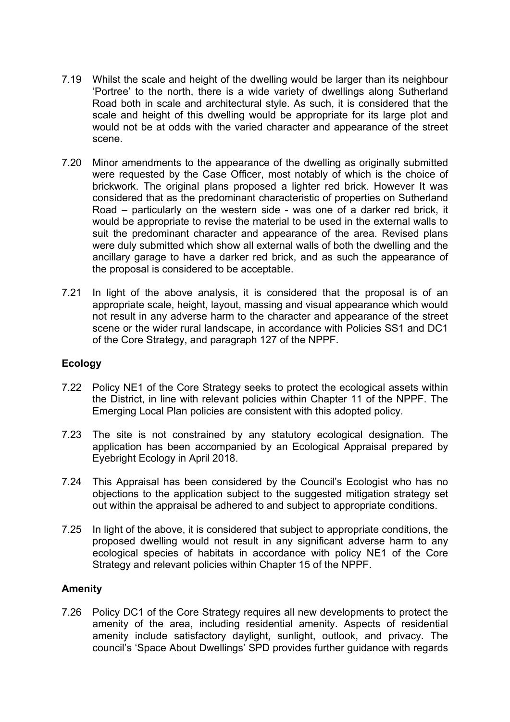- 7.19 Whilst the scale and height of the dwelling would be larger than its neighbour 'Portree' to the north, there is a wide variety of dwellings along Sutherland Road both in scale and architectural style. As such, it is considered that the scale and height of this dwelling would be appropriate for its large plot and would not be at odds with the varied character and appearance of the street scene.
- 7.20 Minor amendments to the appearance of the dwelling as originally submitted were requested by the Case Officer, most notably of which is the choice of brickwork. The original plans proposed a lighter red brick. However It was considered that as the predominant characteristic of properties on Sutherland Road – particularly on the western side - was one of a darker red brick, it would be appropriate to revise the material to be used in the external walls to suit the predominant character and appearance of the area. Revised plans were duly submitted which show all external walls of both the dwelling and the ancillary garage to have a darker red brick, and as such the appearance of the proposal is considered to be acceptable.
- 7.21 In light of the above analysis, it is considered that the proposal is of an appropriate scale, height, layout, massing and visual appearance which would not result in any adverse harm to the character and appearance of the street scene or the wider rural landscape, in accordance with Policies SS1 and DC1 of the Core Strategy, and paragraph 127 of the NPPF.

# **Ecology**

- 7.22 Policy NE1 of the Core Strategy seeks to protect the ecological assets within the District, in line with relevant policies within Chapter 11 of the NPPF. The Emerging Local Plan policies are consistent with this adopted policy.
- 7.23 The site is not constrained by any statutory ecological designation. The application has been accompanied by an Ecological Appraisal prepared by Eyebright Ecology in April 2018.
- 7.24 This Appraisal has been considered by the Council's Ecologist who has no objections to the application subject to the suggested mitigation strategy set out within the appraisal be adhered to and subject to appropriate conditions.
- 7.25 In light of the above, it is considered that subject to appropriate conditions, the proposed dwelling would not result in any significant adverse harm to any ecological species of habitats in accordance with policy NE1 of the Core Strategy and relevant policies within Chapter 15 of the NPPF.

# **Amenity**

7.26 Policy DC1 of the Core Strategy requires all new developments to protect the amenity of the area, including residential amenity. Aspects of residential amenity include satisfactory daylight, sunlight, outlook, and privacy. The council's 'Space About Dwellings' SPD provides further guidance with regards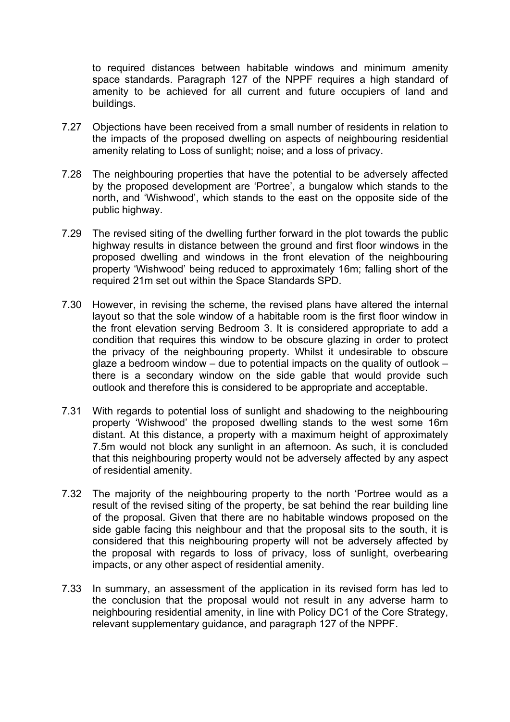to required distances between habitable windows and minimum amenity space standards. Paragraph 127 of the NPPF requires a high standard of amenity to be achieved for all current and future occupiers of land and buildings.

- 7.27 Objections have been received from a small number of residents in relation to the impacts of the proposed dwelling on aspects of neighbouring residential amenity relating to Loss of sunlight; noise; and a loss of privacy.
- 7.28 The neighbouring properties that have the potential to be adversely affected by the proposed development are 'Portree', a bungalow which stands to the north, and 'Wishwood', which stands to the east on the opposite side of the public highway.
- 7.29 The revised siting of the dwelling further forward in the plot towards the public highway results in distance between the ground and first floor windows in the proposed dwelling and windows in the front elevation of the neighbouring property 'Wishwood' being reduced to approximately 16m; falling short of the required 21m set out within the Space Standards SPD.
- 7.30 However, in revising the scheme, the revised plans have altered the internal layout so that the sole window of a habitable room is the first floor window in the front elevation serving Bedroom 3. It is considered appropriate to add a condition that requires this window to be obscure glazing in order to protect the privacy of the neighbouring property. Whilst it undesirable to obscure glaze a bedroom window – due to potential impacts on the quality of outlook – there is a secondary window on the side gable that would provide such outlook and therefore this is considered to be appropriate and acceptable.
- 7.31 With regards to potential loss of sunlight and shadowing to the neighbouring property 'Wishwood' the proposed dwelling stands to the west some 16m distant. At this distance, a property with a maximum height of approximately 7.5m would not block any sunlight in an afternoon. As such, it is concluded that this neighbouring property would not be adversely affected by any aspect of residential amenity.
- 7.32 The majority of the neighbouring property to the north 'Portree would as a result of the revised siting of the property, be sat behind the rear building line of the proposal. Given that there are no habitable windows proposed on the side gable facing this neighbour and that the proposal sits to the south, it is considered that this neighbouring property will not be adversely affected by the proposal with regards to loss of privacy, loss of sunlight, overbearing impacts, or any other aspect of residential amenity.
- 7.33 In summary, an assessment of the application in its revised form has led to the conclusion that the proposal would not result in any adverse harm to neighbouring residential amenity, in line with Policy DC1 of the Core Strategy, relevant supplementary guidance, and paragraph 127 of the NPPF.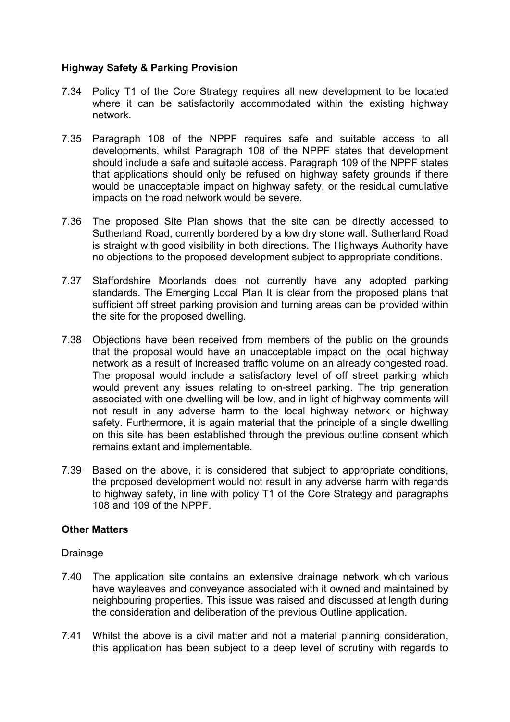# **Highway Safety & Parking Provision**

- 7.34 Policy T1 of the Core Strategy requires all new development to be located where it can be satisfactorily accommodated within the existing highway network.
- 7.35 Paragraph 108 of the NPPF requires safe and suitable access to all developments, whilst Paragraph 108 of the NPPF states that development should include a safe and suitable access. Paragraph 109 of the NPPF states that applications should only be refused on highway safety grounds if there would be unacceptable impact on highway safety, or the residual cumulative impacts on the road network would be severe.
- 7.36 The proposed Site Plan shows that the site can be directly accessed to Sutherland Road, currently bordered by a low dry stone wall. Sutherland Road is straight with good visibility in both directions. The Highways Authority have no objections to the proposed development subject to appropriate conditions.
- 7.37 Staffordshire Moorlands does not currently have any adopted parking standards. The Emerging Local Plan It is clear from the proposed plans that sufficient off street parking provision and turning areas can be provided within the site for the proposed dwelling.
- 7.38 Objections have been received from members of the public on the grounds that the proposal would have an unacceptable impact on the local highway network as a result of increased traffic volume on an already congested road. The proposal would include a satisfactory level of off street parking which would prevent any issues relating to on-street parking. The trip generation associated with one dwelling will be low, and in light of highway comments will not result in any adverse harm to the local highway network or highway safety. Furthermore, it is again material that the principle of a single dwelling on this site has been established through the previous outline consent which remains extant and implementable.
- 7.39 Based on the above, it is considered that subject to appropriate conditions, the proposed development would not result in any adverse harm with regards to highway safety, in line with policy T1 of the Core Strategy and paragraphs 108 and 109 of the NPPF.

# **Other Matters**

# Drainage

- 7.40 The application site contains an extensive drainage network which various have wayleaves and conveyance associated with it owned and maintained by neighbouring properties. This issue was raised and discussed at length during the consideration and deliberation of the previous Outline application.
- 7.41 Whilst the above is a civil matter and not a material planning consideration, this application has been subject to a deep level of scrutiny with regards to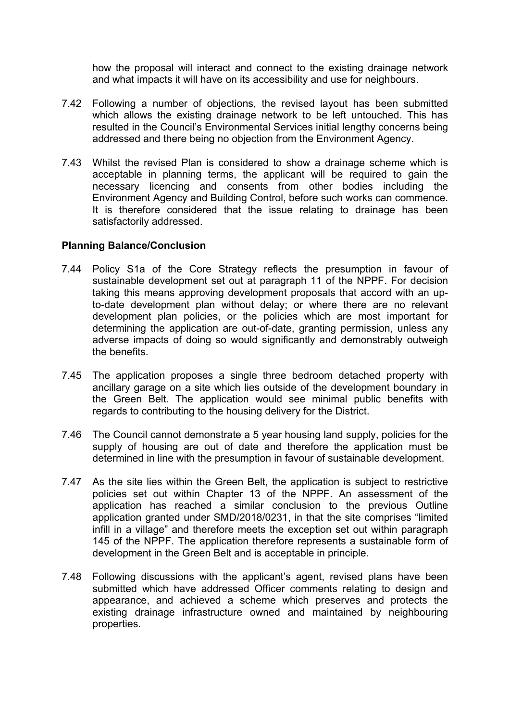how the proposal will interact and connect to the existing drainage network and what impacts it will have on its accessibility and use for neighbours.

- 7.42 Following a number of objections, the revised layout has been submitted which allows the existing drainage network to be left untouched. This has resulted in the Council's Environmental Services initial lengthy concerns being addressed and there being no objection from the Environment Agency.
- 7.43 Whilst the revised Plan is considered to show a drainage scheme which is acceptable in planning terms, the applicant will be required to gain the necessary licencing and consents from other bodies including the Environment Agency and Building Control, before such works can commence. It is therefore considered that the issue relating to drainage has been satisfactorily addressed.

#### **Planning Balance/Conclusion**

- 7.44 Policy S1a of the Core Strategy reflects the presumption in favour of sustainable development set out at paragraph 11 of the NPPF. For decision taking this means approving development proposals that accord with an upto-date development plan without delay; or where there are no relevant development plan policies, or the policies which are most important for determining the application are out-of-date, granting permission, unless any adverse impacts of doing so would significantly and demonstrably outweigh the benefits.
- 7.45 The application proposes a single three bedroom detached property with ancillary garage on a site which lies outside of the development boundary in the Green Belt. The application would see minimal public benefits with regards to contributing to the housing delivery for the District.
- 7.46 The Council cannot demonstrate a 5 year housing land supply, policies for the supply of housing are out of date and therefore the application must be determined in line with the presumption in favour of sustainable development.
- 7.47 As the site lies within the Green Belt, the application is subject to restrictive policies set out within Chapter 13 of the NPPF. An assessment of the application has reached a similar conclusion to the previous Outline application granted under SMD/2018/0231, in that the site comprises "limited infill in a village" and therefore meets the exception set out within paragraph 145 of the NPPF. The application therefore represents a sustainable form of development in the Green Belt and is acceptable in principle.
- 7.48 Following discussions with the applicant's agent, revised plans have been submitted which have addressed Officer comments relating to design and appearance, and achieved a scheme which preserves and protects the existing drainage infrastructure owned and maintained by neighbouring properties.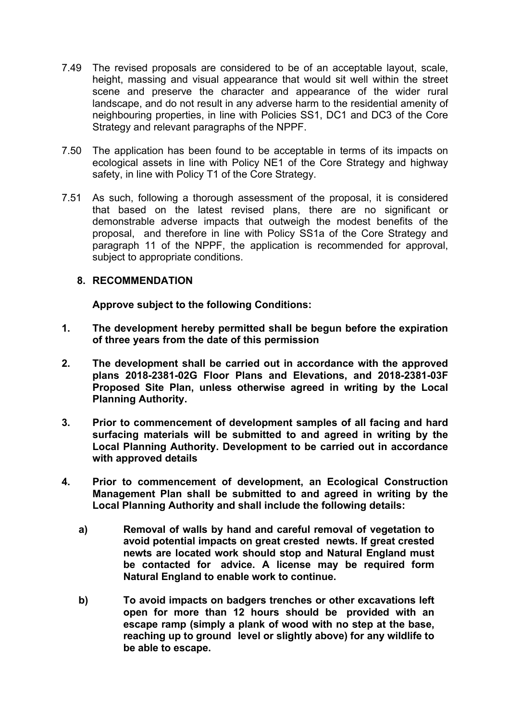- 7.49 The revised proposals are considered to be of an acceptable layout, scale, height, massing and visual appearance that would sit well within the street scene and preserve the character and appearance of the wider rural landscape, and do not result in any adverse harm to the residential amenity of neighbouring properties, in line with Policies SS1, DC1 and DC3 of the Core Strategy and relevant paragraphs of the NPPF.
- 7.50 The application has been found to be acceptable in terms of its impacts on ecological assets in line with Policy NE1 of the Core Strategy and highway safety, in line with Policy T1 of the Core Strategy.
- 7.51 As such, following a thorough assessment of the proposal, it is considered that based on the latest revised plans, there are no significant or demonstrable adverse impacts that outweigh the modest benefits of the proposal, and therefore in line with Policy SS1a of the Core Strategy and paragraph 11 of the NPPF, the application is recommended for approval, subject to appropriate conditions.

# **8. RECOMMENDATION**

**Approve subject to the following Conditions:**

- **1. The development hereby permitted shall be begun before the expiration of three years from the date of this permission**
- **2. The development shall be carried out in accordance with the approved plans 2018-2381-02G Floor Plans and Elevations, and 2018-2381-03F Proposed Site Plan, unless otherwise agreed in writing by the Local Planning Authority.**
- **3. Prior to commencement of development samples of all facing and hard surfacing materials will be submitted to and agreed in writing by the Local Planning Authority. Development to be carried out in accordance with approved details**
- **4. Prior to commencement of development, an Ecological Construction Management Plan shall be submitted to and agreed in writing by the Local Planning Authority and shall include the following details:**
	- **a) Removal of walls by hand and careful removal of vegetation to avoid potential impacts on great crested newts. If great crested newts are located work should stop and Natural England must be contacted for advice. A license may be required form Natural England to enable work to continue.**
	- **b) To avoid impacts on badgers trenches or other excavations left open for more than 12 hours should be provided with an escape ramp (simply a plank of wood with no step at the base, reaching up to ground level or slightly above) for any wildlife to be able to escape.**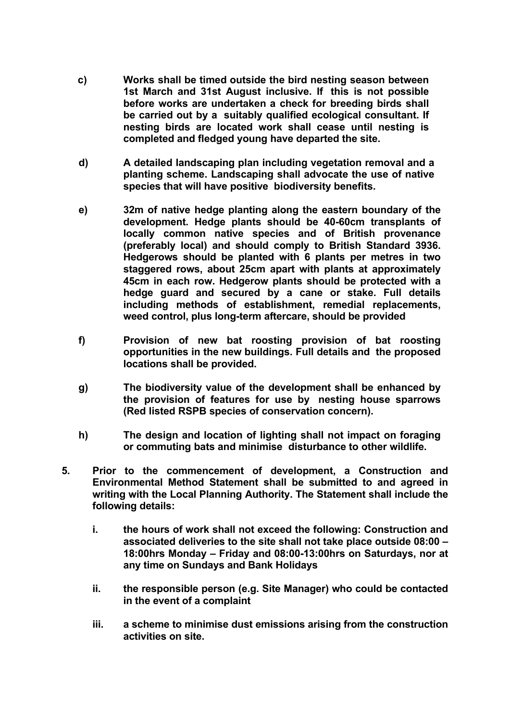- **c) Works shall be timed outside the bird nesting season between 1st March and 31st August inclusive. If this is not possible before works are undertaken a check for breeding birds shall be carried out by a suitably qualified ecological consultant. If nesting birds are located work shall cease until nesting is completed and fledged young have departed the site.**
- **d) A detailed landscaping plan including vegetation removal and a planting scheme. Landscaping shall advocate the use of native species that will have positive biodiversity benefits.**
- **e) 32m of native hedge planting along the eastern boundary of the development. Hedge plants should be 40-60cm transplants of locally common native species and of British provenance (preferably local) and should comply to British Standard 3936. Hedgerows should be planted with 6 plants per metres in two staggered rows, about 25cm apart with plants at approximately 45cm in each row. Hedgerow plants should be protected with a hedge guard and secured by a cane or stake. Full details including methods of establishment, remedial replacements, weed control, plus long-term aftercare, should be provided**
- **f) Provision of new bat roosting provision of bat roosting opportunities in the new buildings. Full details and the proposed locations shall be provided.**
- **g) The biodiversity value of the development shall be enhanced by the provision of features for use by nesting house sparrows (Red listed RSPB species of conservation concern).**
- **h) The design and location of lighting shall not impact on foraging or commuting bats and minimise disturbance to other wildlife.**
- **5. Prior to the commencement of development, a Construction and Environmental Method Statement shall be submitted to and agreed in writing with the Local Planning Authority. The Statement shall include the following details:**
	- **i. the hours of work shall not exceed the following: Construction and associated deliveries to the site shall not take place outside 08:00 – 18:00hrs Monday – Friday and 08:00-13:00hrs on Saturdays, nor at any time on Sundays and Bank Holidays**
	- **ii. the responsible person (e.g. Site Manager) who could be contacted in the event of a complaint**
	- **iii. a scheme to minimise dust emissions arising from the construction activities on site.**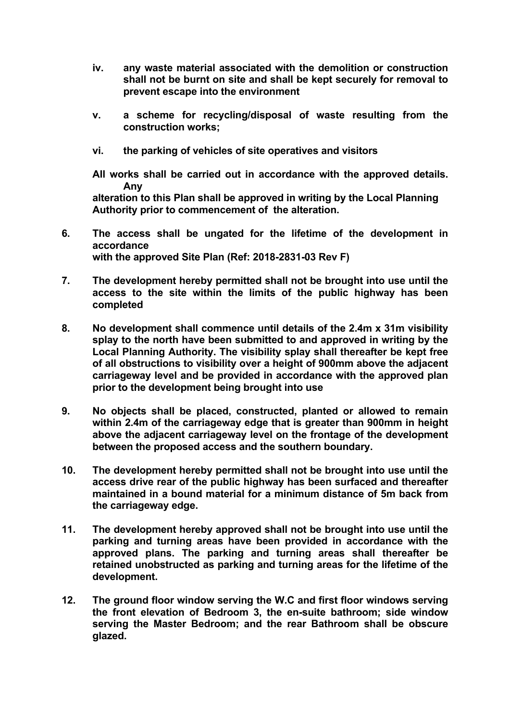- **iv. any waste material associated with the demolition or construction shall not be burnt on site and shall be kept securely for removal to prevent escape into the environment**
- **v. a scheme for recycling/disposal of waste resulting from the construction works;**
- **vi. the parking of vehicles of site operatives and visitors**

**All works shall be carried out in accordance with the approved details. Any alteration to this Plan shall be approved in writing by the Local Planning Authority prior to commencement of the alteration.**

- **6. The access shall be ungated for the lifetime of the development in accordance with the approved Site Plan (Ref: 2018-2831-03 Rev F)**
- **7. The development hereby permitted shall not be brought into use until the access to the site within the limits of the public highway has been completed**
- **8. No development shall commence until details of the 2.4m x 31m visibility splay to the north have been submitted to and approved in writing by the Local Planning Authority. The visibility splay shall thereafter be kept free of all obstructions to visibility over a height of 900mm above the adjacent carriageway level and be provided in accordance with the approved plan prior to the development being brought into use**
- **9. No objects shall be placed, constructed, planted or allowed to remain within 2.4m of the carriageway edge that is greater than 900mm in height above the adjacent carriageway level on the frontage of the development between the proposed access and the southern boundary.**
- **10. The development hereby permitted shall not be brought into use until the access drive rear of the public highway has been surfaced and thereafter maintained in a bound material for a minimum distance of 5m back from the carriageway edge.**
- **11. The development hereby approved shall not be brought into use until the parking and turning areas have been provided in accordance with the approved plans. The parking and turning areas shall thereafter be retained unobstructed as parking and turning areas for the lifetime of the development.**
- **12. The ground floor window serving the W.C and first floor windows serving the front elevation of Bedroom 3, the en-suite bathroom; side window serving the Master Bedroom; and the rear Bathroom shall be obscure glazed.**